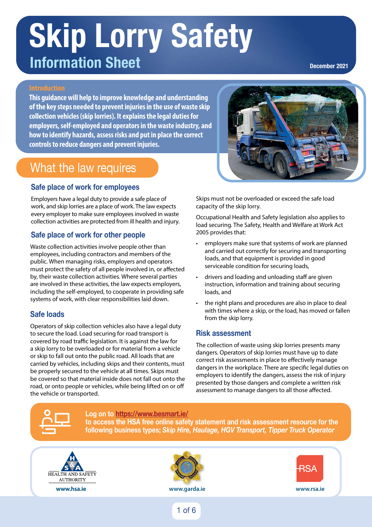#### **Skip Lorry Safety Vehicle Registration Number Mileage In-Cab Checks Skip-lorry Driver Walk-around Check Sheet Vehicle Registration Number Mileage In-Cab Checks Skip-lorry Driver Walk-around Check Sheet Vehicle Registration Number Mileage In-Cab Checks Skip-lorry Driver Walk-around Check Sheet Information Sheet**

 $G$ od visibility for driver through cab windows and  $\sigma$ 

 $G$ od visibility for driver through cab windows and  $\sigma$ 

**December 2021**

#### 1 1 1

11<br>11

11<br>11

11

This guidance will help to improve knowledge and understanding **the contract of the contract of the contract of t** of the key steps needed to prevent injuries in the use of waste skip  $\|\cdot\|$ collection vehicles (skip lorries). It explains the legal duties for employers, self-employed and operators in the waste industry, and  $\begin{array}{|c|c|c|}\hline \multicolumn{1}{|c|}{\bf 1} & \multicolumn{1}{|c|}{\bf 2} & \multicolumn{1}{|c|}{\bf 3} & \multicolumn{1}{|c|}{\bf 4} & \multicolumn{1}{|c|}{\bf 5} & \multicolumn{1}{|c|}{\bf 6} & \multicolumn{1}{|c|}{\bf 7} & \multicolumn{1}{|c|}{\bf 8} & \multic$ how to identify hazards, assess risks and put in place the correct  $\begin{array}{|c|c|}\hline \multicolumn{1}{|c|}{\textbf{1}} & \multicolumn{1}{|c|}{\textbf{2}}\hline \multicolumn{1}{|c|}{\textbf{3}} & \multicolumn{1}{|c|}{\textbf{4}}\hline \multicolumn{1}{|c|}{\textbf{5}} & \multicolumn{1}{|c|}{\textbf{6}}\hline \multicolumn{1}{|c|}{\textbf{7}} & \multicolumn{1}{|$ controls to reduce dangers and prevent injuries. Safety gear: eye goggles, gloves and hard hat accessible in cab. Safety gear: eye goggles, gloves and hard hat accessible in cab. Safety gear: eye goggles, gloves and hard hat accessible in cab.

Vehicle sitting square and not leaning to one side.

Vehicle sitting square and not leaning to one side.

Vehicle sitting square and not leaning to one side.

#### What the law requires **External Vehicle Checks External Vehicle Checks External Vehicle Checks**

# Safe place of work for employees and the state of the state of the state of the state of the state of the state of the state of the state of the state of the state of the state of the state of the state of the state of the

Employers have a legal duty to provide a safe place of work, and skip lorries are a place of work. The law expects \_\_\_\_\_\_\_\_ capacity of the s every employer to make sure employees involved in waste collection activities are protected from ill health and injury. gal duty to provide a safe plac 13 re a legal duty to provide a saf

# Safe place of work for other people state and the state place of work for other people

Waste collection activities involve people other than employees, including contractors and members of the 19 19 19 public. When managing risks, employers and operators must protect the safety of all people involved in, or affected ntast protect the safety of an people involved in, or anceted<br>by, their waste collection activities. Where several parties **example in the set of the set of the set of** river s), then maste conceasing activities, their secured parties. including the self-employed, to cooperate in providing safe loads, and systems of work, with clear responsibilities laid down.

# Safe loads

Operators of skip collection vehicles also have a legal duty to secure the load. Load securing for road transport is covered by road traffic legislation. It is against the law for a skip lorry to be overloaded or for material from a vehicle or skip to fall out onto the public road. All loads that are carried by vehicles, including skips and their contents, must be properly secured to the vehicle at all times. Skips must be covered so that material inside does not fall out onto the road, or onto people or vehicles, while being lifted on or off the vehicle or transported.



e a legal duty to provide a safe place of stratuple Skips must not be overloaded or exceed the safe load capacity of the skip lorry.

> Occupational Health and Safety legislation also applies to load securing. The Safety, Health and Welfare at Work Act 2005 provides that:

- employers make sure that systems of work are planned substitution of the state of the state of the state of the state of the state of the state of the state of the state of the state of the state of the state of the state of the state of the state of the state of the state o loads, and that equipment is provided in good serviceable condition for securing loads,
	- drivers and loading and unloading staff are given instruction, information and training about securing loads, and
- the right plans and procedures are also in place to deal with times where a skip, or the load, has moved or fallen from the skip lorry. Speedometer and speed limiter (if tted) operating correctly.  $S_{\text{r}}$  speed limited limited limited limited limited  $\epsilon$

# **Risk assessment**

The collection of waste using skip lorries presents many dangers. Operators of skip lorries must have up to date correct risk assessments in place to effectively manage dangers in the workplace. There are specific legal duties on employers to identify the dangers, assess the risk of injury presented by those dangers and complete a written risk assessment to manage dangers to all those affected.



type and use of the internal use of the internal use of the internal use of the internal use of the internal u

type and use of the internal use of the internal use of the internal use of the internal use of the internal u

**Log on to [https://www.besmart.ie/](https://www.besmart.ie) to access the HSA free online safety statement and risk assessment resource for the Signed Date Signed Date Signed Date following business types;** *Skip Hire, Haulage, HGV Transport, Tipper Truck Operator*



type and use of their own vehicle.



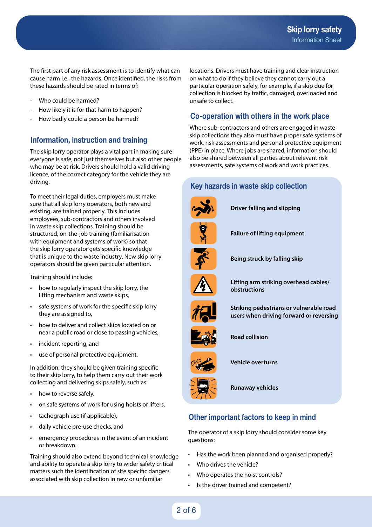The first part of any risk assessment is to identify what can cause harm i.e. the hazards. Once identified, the risks from these hazards should be rated in terms of:

- Who could be harmed?
- How likely it is for that harm to happen?
- How badly could a person be harmed?

#### **Information, instruction and training**

The skip lorry operator plays a vital part in making sure everyone is safe, not just themselves but also other people who may be at risk. Drivers should hold a valid driving licence, of the correct category for the vehicle they are driving.

To meet their legal duties, employers must make sure that all skip lorry operators, both new and existing, are trained properly. This includes employees, sub-contractors and others involved in waste skip collections. Training should be structured, on-the-job training (familiarisation with equipment and systems of work) so that the skip lorry operator gets specific knowledge that is unique to the waste industry. New skip lorry operators should be given particular attention.

Training should include:

- how to regularly inspect the skip lorry, the lifting mechanism and waste skips,
- safe systems of work for the specific skip lorry they are assigned to,
- how to deliver and collect skips located on or near a public road or close to passing vehicles,
- incident reporting, and
- use of personal protective equipment.

In addition, they should be given training specific to their skip lorry, to help them carry out their work collecting and delivering skips safely, such as:

- how to reverse safely,
- on safe systems of work for using hoists or lifters,
- tachograph use (if applicable),
- daily vehicle pre-use checks, and
- emergency procedures in the event of an incident or breakdown.

Training should also extend beyond technical knowledge and ability to operate a skip lorry to wider safety critical matters such the identification of site specific dangers associated with skip collection in new or unfamiliar

locations. Drivers must have training and clear instruction on what to do if they believe they cannot carry out a particular operation safely, for example, if a skip due for collection is blocked by traffic, damaged, overloaded and unsafe to collect.

## **Co-operation with others in the work place**

Where sub-contractors and others are engaged in waste skip collections they also must have proper safe systems of work, risk assessments and personal protective equipment (PPE) in place. Where jobs are shared, information should also be shared between all parties about relevant risk assessments, safe systems of work and work practices.

#### **Key hazards in waste skip collection**



 **Driver falling and slipping** 



**Failure of lifting equipment**







**Lifting arm striking overhead cables/ obstructions**



**Striking pedestrians or vulnerable road users when driving forward or reversing**



**Road collision**



**Vehicle overturns** 



**Runaway vehicles** 

## **Other important factors to keep in mind**

The operator of a skip lorry should consider some key questions:

- Has the work been planned and organised properly?
- Who drives the vehicle?
- Who operates the hoist controls?
- Is the driver trained and competent?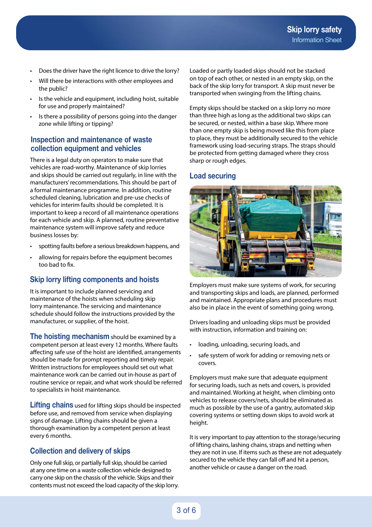- Does the driver have the right licence to drive the lorry?
- Will there be interactions with other employees and the public?
- Is the vehicle and equipment, including hoist, suitable for use and properly maintained?
- Is there a possibility of persons going into the danger zone while lifting or tipping?

#### **Inspection and maintenance of waste collection equipment and vehicles**

There is a legal duty on operators to make sure that vehicles are road-worthy. Maintenance of skip lorries and skips should be carried out regularly, in line with the manufacturers' recommendations. This should be part of a formal maintenance programme. In addition, routine scheduled cleaning, lubrication and pre-use checks of vehicles for interim faults should be completed. It is important to keep a record of all maintenance operations for each vehicle and skip. A planned, routine preventative maintenance system will improve safety and reduce business losses by:

- spotting faults before a serious breakdown happens, and
- allowing for repairs before the equipment becomes too bad to fix.

## **Skip lorry lifting components and hoists**

It is important to include planned servicing and maintenance of the hoists when scheduling skip lorry maintenance. The servicing and maintenance schedule should follow the instructions provided by the manufacturer, or supplier, of the hoist.

**The hoisting mechanism** should be examined by a competent person at least every 12 months. Where faults affecting safe use of the hoist are identified, arrangements should be made for prompt reporting and timely repair. Written instructions for employees should set out what maintenance work can be carried out in-house as part of routine service or repair, and what work should be referred to specialists in hoist maintenance.

**Lifting chains** used for lifting skips should be inspected before use, and removed from service when displaying signs of damage. Lifting chains should be given a thorough examination by a competent person at least every 6 months.

## **Collection and delivery of skips**

Only one full skip, or partially full skip, should be carried at any one time on a waste collection vehicle designed to carry one skip on the chassis of the vehicle. Skips and their contents must not exceed the load capacity of the skip lorry. Loaded or partly loaded skips should not be stacked on top of each other, or nested in an empty skip, on the back of the skip lorry for transport. A skip must never be transported when swinging from the lifting chains.

Empty skips should be stacked on a skip lorry no more than three high as long as the additional two skips can be secured, or nested, within a base skip. Where more than one empty skip is being moved like this from place to place, they must be additionally secured to the vehicle framework using load-securing straps. The straps should be protected from getting damaged where they cross sharp or rough edges.

#### **Load securing**



Employers must make sure systems of work, for securing and transporting skips and loads, are planned, performed and maintained. Appropriate plans and procedures must also be in place in the event of something going wrong.

Drivers loading and unloading skips must be provided with instruction, information and training on:

- loading, unloading, securing loads, and
- safe system of work for adding or removing nets or covers.

Employers must make sure that adequate equipment for securing loads, such as nets and covers, is provided and maintained. Working at height, when climbing onto vehicles to release covers/nets, should be eliminated as much as possible by the use of a gantry, automated skip covering systems or setting down skips to avoid work at height.

It is very important to pay attention to the storage/securing of lifting chains, lashing chains, straps and netting when they are not in use. If items such as these are not adequately secured to the vehicle they can fall off and hit a person, another vehicle or cause a danger on the road.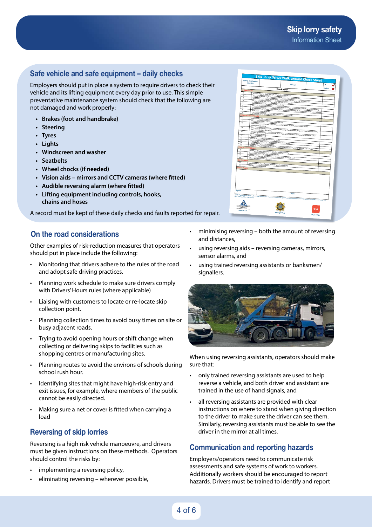#### **Skip lorry safety** Information Sheet

## **Safe vehicle and safe equipment – daily checks**

Employers should put in place a system to require drivers to check their vehicle and its lifting equipment every day prior to use. This simple preventative maintenance system should check that the following are not damaged and work properly:

- **• Brakes (foot and handbrake)**
- **• Steering**
- **• Tyres**
- **• Lights**
- **• Windscreen and washer**
- **• Seatbelts**
- **• Wheel chocks (if needed)**
- **• Vision aids mirrors and CCTV cameras (where fitted)**
- **• Audible reversing alarm (where fitted)**
- **• Lifting equipment including controls, hooks, chains and hoses**

A record must be kept of these daily checks and faults reported for repair.

## **On the road considerations**

Other examples of risk-reduction measures that operators should put in place include the following:

- Monitoring that drivers adhere to the rules of the road and adopt safe driving practices.
- Planning work schedule to make sure drivers comply with Drivers' Hours rules (where applicable)
- Liaising with customers to locate or re-locate skip collection point.
- Planning collection times to avoid busy times on site or busy adjacent roads.
- Trying to avoid opening hours or shift change when collecting or delivering skips to facilities such as shopping centres or manufacturing sites.
- Planning routes to avoid the environs of schools during school rush hour.
- Identifying sites that might have high-risk entry and exit issues, for example, where members of the public cannot be easily directed.
- Making sure a net or cover is fitted when carrying a load

## **Reversing of skip lorries**

Reversing is a high risk vehicle manoeuvre, and drivers must be given instructions on these methods. Operators should control the risks by:

- implementing a reversing policy,
- eliminating reversing wherever possible,
- NOTE: This is a sample driver walk-around HGV checklist. It is recommended that operators prepare their own driver walk-around checklists to account for the type and use of their own vehicle **Vehicle Registration Number Mileage OK Defect Check Items In-Cab Checks Date Date Contact Contact Contact Contact Contact Contact Contact Contact Contact Contact Contact Contact Contact Contact Contact Contact Contact Contact Contact Contact Contact Contact Contact Contact Contact Contact www.hsa.ie www.rsa.ie www.garda.ie Skip-lorry Driver Walk-around Check Sheet** Good visibility for driver through cab windows and mirrors. All required mirrors in place, correctly aligned, clean and Windscreen and windows undamaged and clean. View not din good condition<br>Driving controls, seat and driver sales and clean. View not obscured, e.g., by stickers etc. in good condition Driving controls, seat and driver safety belt adjusted correctly. Cab clean with no obstructions or loose material. Horn, windscreen washer, wipers, demister and temperature controls [where fitted] operating correctly<br>All interaments, giuges and other warning devices working controls [where fitted] operating correctly All interuments, gauges and other warning devices working controls (where fitted) operating correctly,<br>No air leaks or pressure drop.<br>S.c. No air leaks or pressure drop. Safety gear: eye goggles, gloves and hard hat accessible in cab. 2 6 Vehicle washed down and clean. Vehicle sitting square and not leaning to one side. Road tax, insurance and and CVRT discs present and valid. Number plates clearly visible. Waste permit displayed Tyres correctly infleted, correct tread depth, undamaged, no abrasions, bulges or tears. Wheel nuts all in<br>place, correctly fited and secure.<br>All links, subs plac<sub>e, correctly</sub> fitted and secure All lights, reflectors and markings fitted, clean and in good condition. Reversing lights/camera (where<br>Ethnol) working correctly.<br>Hotel normali tted) working correctly. Hoist operating correctly. Exhaust secure with no excess noise or smoke. Vehicle access, doors, steps and bodywork in good condition. Fuel cap seal in place and not leaking. Engine oil, coolant, brake fluid, windscreen washer reservoir and fuel levels checked and no leaks 10 13 14 16 17 Steering and brakes, including hand brake, working correctly. Skip secured and weight distributed correctly. All chains, straps, nets securely stowed. No loose items on vehicle bed. Wheel chocks available and secure. 23 **External Vehicle Checks Prior to Leaving Depot** Speedometer and speed limiter (if fitted) operating correctly<br>ABS/EBS warring liabs are ABS/EBS warning lights of **On-the-Road** Defect details
- minimising reversing both the amount of reversing and distances,
- using reversing aids reversing cameras, mirrors, sensor alarms, and
- using trained reversing assistants or banksmen/ signallers.



When using reversing assistants, operators should make sure that:

- only trained reversing assistants are used to help reverse a vehicle, and both driver and assistant are trained in the use of hand signals, and
- all reversing assistants are provided with clear instructions on where to stand when giving direction to the driver to make sure the driver can see them. Similarly, reversing assistants must be able to see the driver in the mirror at all times.

## **Communication and reporting hazards**

Employers/operators need to communicate risk assessments and safe systems of work to workers. Additionally workers should be encouraged to report hazards. Drivers must be trained to identify and report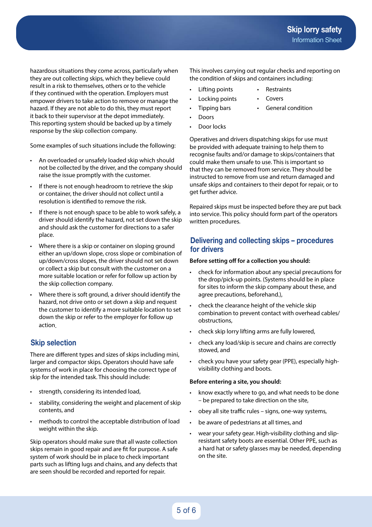hazardous situations they come across, particularly when they are out collecting skips, which they believe could result in a risk to themselves, others or to the vehicle if they continued with the operation. Employers must empower drivers to take action to remove or manage the hazard. If they are not able to do this, they must report it back to their supervisor at the depot immediately. This reporting system should be backed up by a timely response by the skip collection company.

Some examples of such situations include the following:

- An overloaded or unsafely loaded skip which should not be collected by the driver, and the company should raise the issue promptly with the customer.
- If there is not enough headroom to retrieve the skip or container, the driver should not collect until a resolution is identified to remove the risk.
- If there is not enough space to be able to work safely, a driver should identify the hazard, not set down the skip and should ask the customer for directions to a safer place.
- Where there is a skip or container on sloping ground either an up/down slope, cross slope or combination of up/down/cross slopes, the driver should not set down or collect a skip but consult with the customer on a more suitable location or refer for follow up action by the skip collection company.
- Where there is soft ground, a driver should identify the hazard, not drive onto or set down a skip and request the customer to identify a more suitable location to set down the skip or refer to the employer for follow up action

# **Skip selection**

There are different types and sizes of skips including mini, larger and compactor skips. Operators should have safe systems of work in place for choosing the correct type of skip for the intended task. This should include:

- strength, considering its intended load,
- stability, considering the weight and placement of skip contents, and
- methods to control the acceptable distribution of load weight within the skip.

Skip operators should make sure that all waste collection skips remain in good repair and are fit for purpose. A safe system of work should be in place to check important parts such as lifting lugs and chains, and any defects that are seen should be recorded and reported for repair.

This involves carrying out regular checks and reporting on the condition of skips and containers including:

- Lifting points
- Locking points • Tipping bars
- **Covers**
- General condition

**Restraints** 

- Doors
- Door locks

Operatives and drivers dispatching skips for use must be provided with adequate training to help them to recognise faults and/or damage to skips/containers that could make them unsafe to use. This is important so that they can be removed from service. They should be instructed to remove from use and return damaged and unsafe skips and containers to their depot for repair, or to get further advice.

Repaired skips must be inspected before they are put back into service. This policy should form part of the operators written procedures.

#### **Delivering and collecting skips – procedures for drivers**

#### **Before setting off for a collection you should:**

- check for information about any special precautions for the drop/pick-up points. (Systems should be in place for sites to inform the skip company about these, and agree precautions, beforehand.),
- check the clearance height of the vehicle skip combination to prevent contact with overhead cables/ obstructions,
- check skip lorry lifting arms are fully lowered,
- check any load/skip is secure and chains are correctly stowed, and
- check you have your safety gear (PPE), especially highvisibility clothing and boots.

#### **Before entering a site, you should:**

- know exactly where to go, and what needs to be done – be prepared to take direction on the site,
- obey all site traffic rules signs, one-way systems,
- be aware of pedestrians at all times, and
- wear your safety gear. High-visibility clothing and slipresistant safety boots are essential. Other PPE, such as a hard hat or safety glasses may be needed, depending on the site.